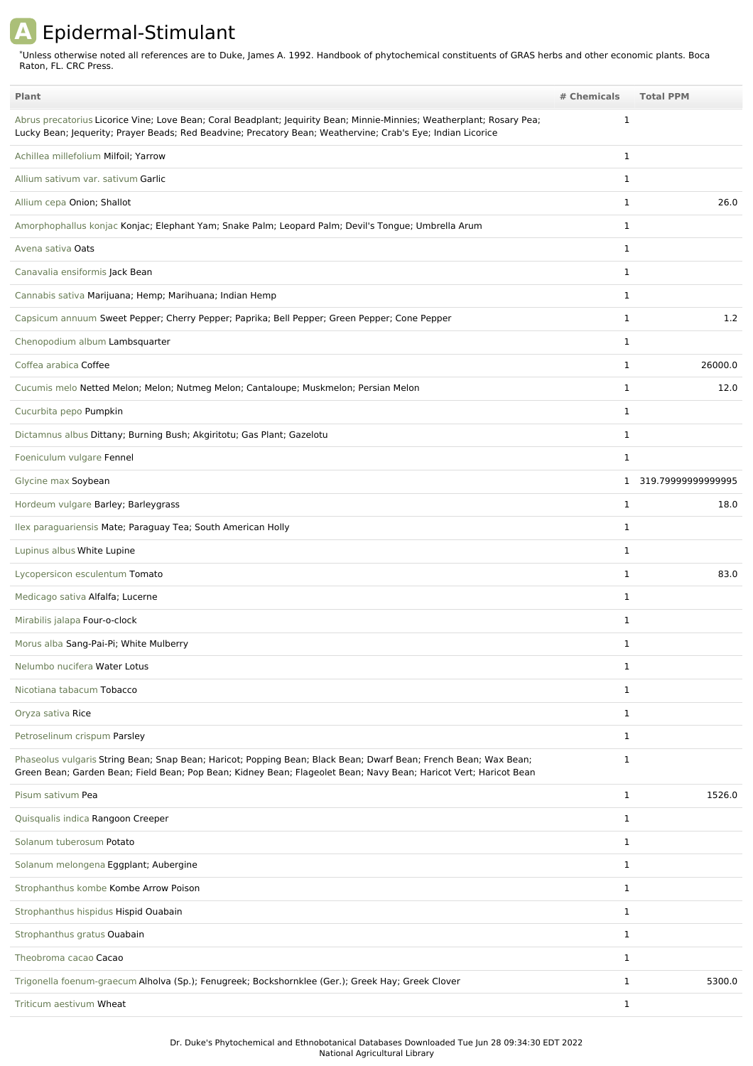## **A** Epidermal-Stimulant

Unless otherwise noted all references are to Duke, James A. 1992. Handbook of phytochemical constituents of GRAS herbs and other economic plants. Boca Raton, FL. CRC Press. \*

| Plant                                                                                                                                                                                                                                 | # Chemicals  | <b>Total PPM</b>   |
|---------------------------------------------------------------------------------------------------------------------------------------------------------------------------------------------------------------------------------------|--------------|--------------------|
| Abrus precatorius Licorice Vine; Love Bean; Coral Beadplant; Jequirity Bean; Minnie-Minnies; Weatherplant; Rosary Pea;<br>Lucky Bean; Jequerity; Prayer Beads; Red Beadvine; Precatory Bean; Weathervine; Crab's Eye; Indian Licorice | $\mathbf{1}$ |                    |
| Achillea millefolium Milfoil; Yarrow                                                                                                                                                                                                  | $\mathbf{1}$ |                    |
| Allium sativum var. sativum Garlic                                                                                                                                                                                                    | $\mathbf{1}$ |                    |
| Allium cepa Onion; Shallot                                                                                                                                                                                                            | 1            | 26.0               |
| Amorphophallus konjac Konjac; Elephant Yam; Snake Palm; Leopard Palm; Devil's Tongue; Umbrella Arum                                                                                                                                   | 1            |                    |
| Avena sativa Oats                                                                                                                                                                                                                     | $\mathbf{1}$ |                    |
| Canavalia ensiformis Jack Bean                                                                                                                                                                                                        | 1            |                    |
| Cannabis sativa Marijuana; Hemp; Marihuana; Indian Hemp                                                                                                                                                                               | $\mathbf{1}$ |                    |
| Capsicum annuum Sweet Pepper; Cherry Pepper; Paprika; Bell Pepper; Green Pepper; Cone Pepper                                                                                                                                          | 1            | 1.2                |
| Chenopodium album Lambsquarter                                                                                                                                                                                                        | 1            |                    |
| Coffea arabica Coffee                                                                                                                                                                                                                 | 1            | 26000.0            |
| Cucumis melo Netted Melon; Melon; Nutmeg Melon; Cantaloupe; Muskmelon; Persian Melon                                                                                                                                                  | 1            | 12.0               |
| Cucurbita pepo Pumpkin                                                                                                                                                                                                                | 1            |                    |
| Dictamnus albus Dittany; Burning Bush; Akgiritotu; Gas Plant; Gazelotu                                                                                                                                                                | 1            |                    |
| Foeniculum vulgare Fennel                                                                                                                                                                                                             | 1            |                    |
| Glycine max Soybean                                                                                                                                                                                                                   | $\mathbf{1}$ | 319.79999999999995 |
| Hordeum vulgare Barley; Barleygrass                                                                                                                                                                                                   | 1            | 18.0               |
| Ilex paraguariensis Mate; Paraguay Tea; South American Holly                                                                                                                                                                          | 1            |                    |
| Lupinus albus White Lupine                                                                                                                                                                                                            | 1            |                    |
| Lycopersicon esculentum Tomato                                                                                                                                                                                                        | $\mathbf 1$  | 83.0               |
| Medicago sativa Alfalfa; Lucerne                                                                                                                                                                                                      | 1            |                    |
| Mirabilis jalapa Four-o-clock                                                                                                                                                                                                         | 1            |                    |
| Morus alba Sang-Pai-Pi; White Mulberry                                                                                                                                                                                                | 1            |                    |
| Nelumbo nucifera Water Lotus                                                                                                                                                                                                          | 1            |                    |
| Nicotiana tabacum Tobacco                                                                                                                                                                                                             | 1            |                    |
| Oryza sativa Rice                                                                                                                                                                                                                     | $\mathbf{1}$ |                    |
| Petroselinum crispum Parsley                                                                                                                                                                                                          | 1            |                    |
| Phaseolus vulgaris String Bean; Snap Bean; Haricot; Popping Bean; Black Bean; Dwarf Bean; French Bean; Wax Bean;<br>Green Bean; Garden Bean; Field Bean; Pop Bean; Kidney Bean; Flageolet Bean; Navy Bean; Haricot Vert; Haricot Bean | $\mathbf{1}$ |                    |
| Pisum sativum Pea                                                                                                                                                                                                                     | $\mathbf{1}$ | 1526.0             |
| Quisqualis indica Rangoon Creeper                                                                                                                                                                                                     | $\mathbf{1}$ |                    |
| Solanum tuberosum Potato                                                                                                                                                                                                              | $\mathbf{1}$ |                    |
| Solanum melongena Eggplant; Aubergine                                                                                                                                                                                                 | $\mathbf{1}$ |                    |
| Strophanthus kombe Kombe Arrow Poison                                                                                                                                                                                                 | 1            |                    |
| Strophanthus hispidus Hispid Ouabain                                                                                                                                                                                                  | $\mathbf{1}$ |                    |
| Strophanthus gratus Ouabain                                                                                                                                                                                                           | $\mathbf{1}$ |                    |
| Theobroma cacao Cacao                                                                                                                                                                                                                 | $\mathbf{1}$ |                    |
| Trigonella foenum-graecum Alholva (Sp.); Fenugreek; Bockshornklee (Ger.); Greek Hay; Greek Clover                                                                                                                                     | 1            | 5300.0             |
| Triticum aestivum Wheat                                                                                                                                                                                                               | $\mathbf{1}$ |                    |